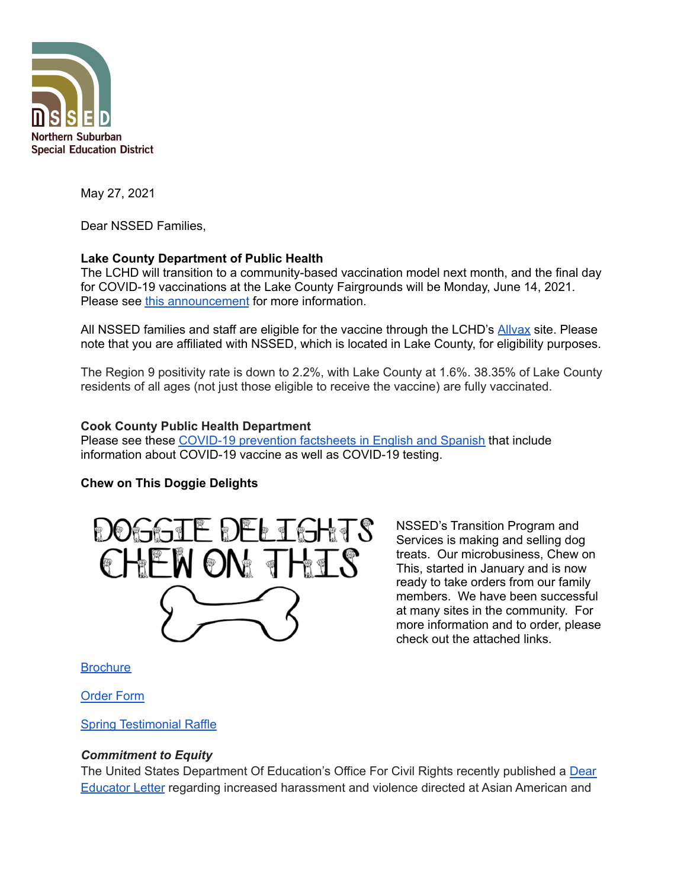

May 27, 2021

Dear NSSED Families,

## **Lake County Department of Public Health**

The LCHD will transition to a community-based vaccination model next month, and the final day for COVID-19 vaccinations at the Lake County Fairgrounds will be Monday, June 14, 2021. Please see this [announcement](https://content.govdelivery.com/accounts/ILLAKE/bulletins/2e18f98) for more information.

All NSSED families and staff are eligible for the vaccine through the LCHD's [Allvax](https://allvax.lakecohealth.org/s/?language=en_US) site. Please note that you are affiliated with NSSED, which is located in Lake County, for eligibility purposes.

The Region 9 positivity rate is down to 2.2%, with Lake County at 1.6%. 38.35% of Lake County residents of all ages (not just those eligible to receive the vaccine) are fully vaccinated.

## **Cook County Public Health Department**

Please see these COVID-19 [prevention](https://www.nssed.org/cms/lib/IL50000460/Centricity/Domain/151/CCDPH%20COVID%20Fact%20Sheets%20may%202021.pdf) factsheets in English and Spanish that include information about COVID-19 vaccine as well as COVID-19 testing.

## **Chew on This Doggie Delights**



NSSED's Transition Program and Services is making and selling dog treats. Our microbusiness, Chew on This, started in January and is now ready to take orders from our family members. We have been successful at many sites in the community. For more information and to order, please check out the attached links.

**[Brochure](https://drive.google.com/file/d/1DEw68PYklbN0AQN0bVbXXSu1U3szvWxi/view)** 

[Order](https://forms.gle/8sBDXFLwQLqJqyZe7) Form

Spring [Testimonial](https://drive.google.com/file/d/1utqA_CQoEt9j7hjIdFXnkiuFm-Ap_YY-/view?usp=sharing) Raffle

## *Commitment to Equity*

The United States Department Of Education's Office For Civil Rights recently published a [Dear](https://www2.ed.gov/about/offices/list/ocr/correspondence/stakeholders/educator-202105-aapi.pdf) [Educator](https://www2.ed.gov/about/offices/list/ocr/correspondence/stakeholders/educator-202105-aapi.pdf) Letter regarding increased harassment and violence directed at Asian American and